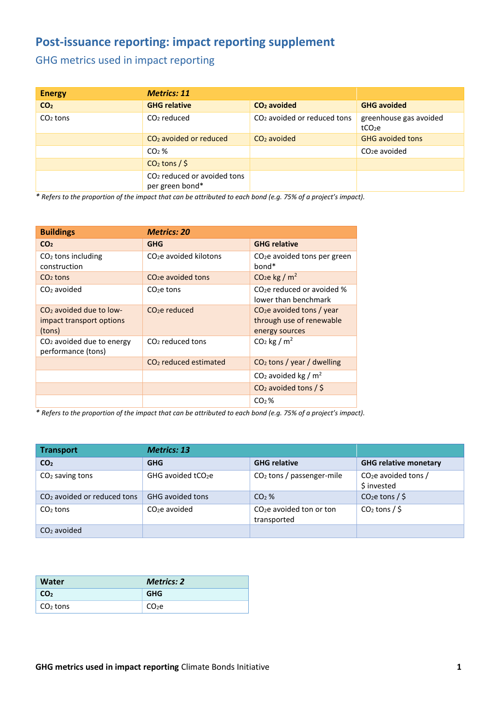## **Post-issuance reporting: impact reporting supplement**

## GHG metrics used in impact reporting

| <b>Energy</b>   | <b>Metrics: 11</b>                                         |                                         |                                              |
|-----------------|------------------------------------------------------------|-----------------------------------------|----------------------------------------------|
| CO <sub>2</sub> | <b>GHG relative</b>                                        | $CO2$ avoided                           | <b>GHG avoided</b>                           |
| $CO2$ tons      | $CO2$ reduced                                              | CO <sub>2</sub> avoided or reduced tons | greenhouse gas avoided<br>tCO <sub>2</sub> e |
|                 | $CO2$ avoided or reduced                                   | $CO2$ avoided                           | <b>GHG avoided tons</b>                      |
|                 | $CO2$ %                                                    |                                         | $CO2e$ avoided                               |
|                 | $CO2$ tons / \$                                            |                                         |                                              |
|                 | CO <sub>2</sub> reduced or avoided tons<br>per green bond* |                                         |                                              |

*\* Refers to the proportion of the impact that can be attributed to each bond (e.g. 75% of a project's impact).*

| <b>Buildings</b>                                                | <b>Metrics: 20</b>                 |                                                                          |
|-----------------------------------------------------------------|------------------------------------|--------------------------------------------------------------------------|
| CO <sub>2</sub>                                                 | <b>GHG</b>                         | <b>GHG relative</b>                                                      |
| $CO2$ tons including<br>construction                            | CO <sub>2</sub> e avoided kilotons | $CO2e$ avoided tons per green<br>bond <sup>*</sup>                       |
| $CO2$ tons                                                      | CO <sub>2</sub> e avoided tons     | CO <sub>2</sub> e kg / $m2$                                              |
| $CO2$ avoided                                                   | $CO2e$ tons                        | $CO2e$ reduced or avoided %<br>lower than benchmark                      |
| $CO2$ avoided due to low-<br>impact transport options<br>(tons) | $CO2e$ reduced                     | $CO2e$ avoided tons / year<br>through use of renewable<br>energy sources |
| $CO2$ avoided due to energy<br>performance (tons)               | $CO2$ reduced tons                 | $CO2$ kg / m <sup>2</sup>                                                |
|                                                                 | $CO2$ reduced estimated            | $CO2$ tons / year / dwelling                                             |
|                                                                 |                                    | CO <sub>2</sub> avoided kg / $m2$                                        |
|                                                                 |                                    | $CO2$ avoided tons / \$                                                  |
|                                                                 |                                    | $CO2$ %                                                                  |

*\* Refers to the proportion of the impact that can be attributed to each bond (e.g. 75% of a project's impact).*

| <b>Transport</b>                        | <b>Metrics: 13</b>             |                                          |                                      |
|-----------------------------------------|--------------------------------|------------------------------------------|--------------------------------------|
| CO <sub>2</sub>                         | <b>GHG</b>                     | <b>GHG relative</b>                      | <b>GHG relative monetary</b>         |
| $CO2$ saving tons                       | GHG avoided tCO <sub>2</sub> e | $CO2$ tons / passenger-mile              | $CO2e$ avoided tons /<br>\$ invested |
| CO <sub>2</sub> avoided or reduced tons | GHG avoided tons               | $CO2$ %                                  | $CO2e$ tons / \$                     |
| $CO2$ tons                              | $CO2e$ avoided                 | $CO2e$ avoided ton or ton<br>transported | $CO2$ tons / \$                      |
| $CO2$ avoided                           |                                |                                          |                                      |

| Water           | <b>Metrics: 2</b> |
|-----------------|-------------------|
| CO <sub>2</sub> | <b>GHG</b>        |
| $CO2$ tons      | CO <sub>2</sub> e |